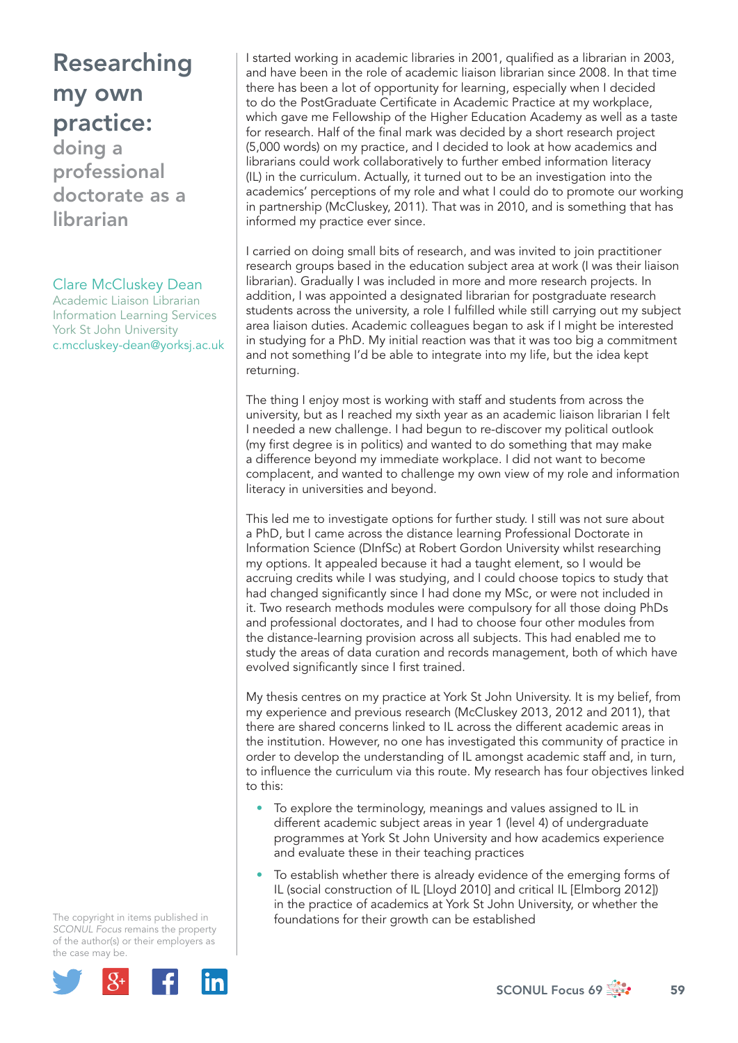# Researching my own practice:

doing a professional doctorate as a librarian

#### Clare McCluskey Dean

Academic Liaison Librarian Information Learning Services York St John University c.mccluskey-dean@yorksj.ac.uk I started working in academic libraries in 2001, qualified as a librarian in 2003, and have been in the role of academic liaison librarian since 2008. In that time there has been a lot of opportunity for learning, especially when I decided to do the PostGraduate Certificate in Academic Practice at my workplace, which gave me Fellowship of the Higher Education Academy as well as a taste for research. Half of the final mark was decided by a short research project (5,000 words) on my practice, and I decided to look at how academics and librarians could work collaboratively to further embed information literacy (IL) in the curriculum. Actually, it turned out to be an investigation into the academics' perceptions of my role and what I could do to promote our working in partnership (McCluskey, 2011). That was in 2010, and is something that has informed my practice ever since.

I carried on doing small bits of research, and was invited to join practitioner research groups based in the education subject area at work (I was their liaison librarian). Gradually I was included in more and more research projects. In addition, I was appointed a designated librarian for postgraduate research students across the university, a role I fulfilled while still carrying out my subject area liaison duties. Academic colleagues began to ask if I might be interested in studying for a PhD. My initial reaction was that it was too big a commitment and not something I'd be able to integrate into my life, but the idea kept returning.

The thing I enjoy most is working with staff and students from across the university, but as I reached my sixth year as an academic liaison librarian I felt I needed a new challenge. I had begun to re-discover my political outlook (my first degree is in politics) and wanted to do something that may make a difference beyond my immediate workplace. I did not want to become complacent, and wanted to challenge my own view of my role and information literacy in universities and beyond.

This led me to investigate options for further study. I still was not sure about a PhD, but I came across the distance learning Professional Doctorate in Information Science (DInfSc) at Robert Gordon University whilst researching my options. It appealed because it had a taught element, so I would be accruing credits while I was studying, and I could choose topics to study that had changed significantly since I had done my MSc, or were not included in it. Two research methods modules were compulsory for all those doing PhDs and professional doctorates, and I had to choose four other modules from the distance-learning provision across all subjects. This had enabled me to study the areas of data curation and records management, both of which have evolved significantly since I first trained.

My thesis centres on my practice at York St John University. It is my belief, from my experience and previous research (McCluskey 2013, 2012 and 2011), that there are shared concerns linked to IL across the different academic areas in the institution. However, no one has investigated this community of practice in order to develop the understanding of IL amongst academic staff and, in turn, to influence the curriculum via this route. My research has four objectives linked to this:

- To explore the terminology, meanings and values assigned to IL in different academic subject areas in year 1 (level 4) of undergraduate programmes at York St John University and how academics experience and evaluate these in their teaching practices
- To establish whether there is already evidence of the emerging forms of IL (social construction of IL [Lloyd 2010] and critical IL [Elmborg 2012]) in the practice of academics at York St John University, or whether the foundations for their growth can be established

The copyright in items published in *SCONUL Focus* remains the property of the author(s) or their employers as the case may be.

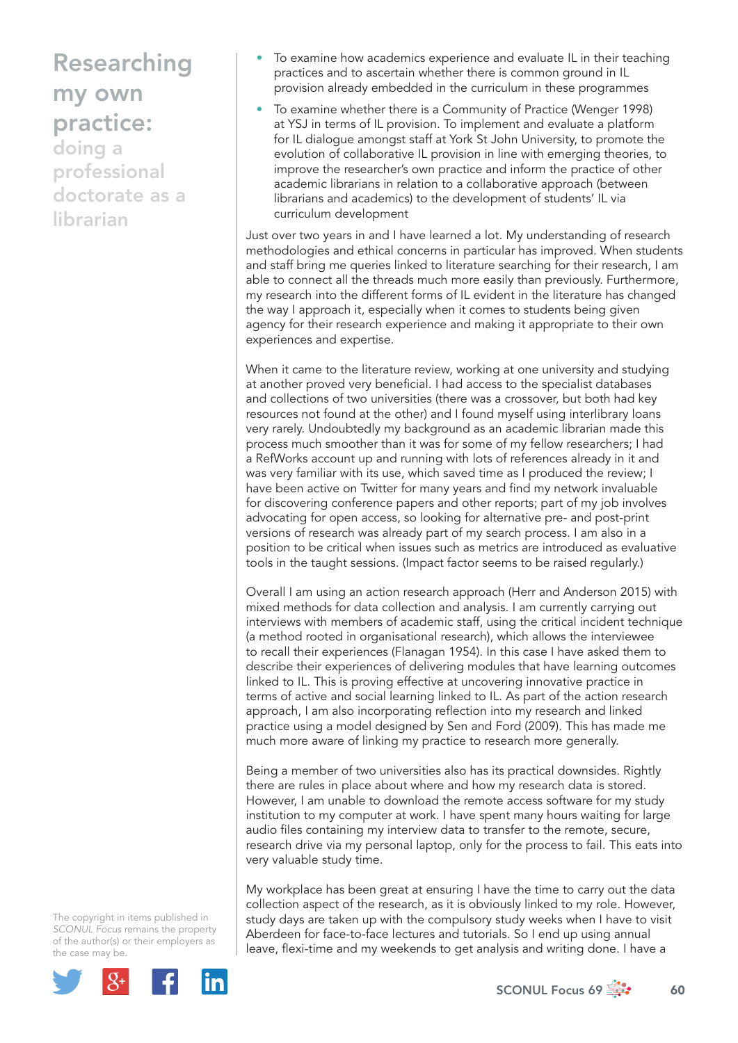## Researching my own practice:

doing a professional doctorate as a librarian

- To examine how academics experience and evaluate IL in their teaching practices and to ascertain whether there is common ground in IL provision already embedded in the curriculum in these programmes
- To examine whether there is a Community of Practice (Wenger 1998) at YSJ in terms of IL provision. To implement and evaluate a platform for IL dialogue amongst staff at York St John University, to promote the evolution of collaborative IL provision in line with emerging theories, to improve the researcher's own practice and inform the practice of other academic librarians in relation to a collaborative approach (between librarians and academics) to the development of students' IL via curriculum development

Just over two years in and I have learned a lot. My understanding of research methodologies and ethical concerns in particular has improved. When students and staff bring me queries linked to literature searching for their research, I am able to connect all the threads much more easily than previously. Furthermore, my research into the different forms of IL evident in the literature has changed the way I approach it, especially when it comes to students being given agency for their research experience and making it appropriate to their own experiences and expertise.

When it came to the literature review, working at one university and studying at another proved very beneficial. I had access to the specialist databases and collections of two universities (there was a crossover, but both had key resources not found at the other) and I found myself using interlibrary loans very rarely. Undoubtedly my background as an academic librarian made this process much smoother than it was for some of my fellow researchers; I had a RefWorks account up and running with lots of references already in it and was very familiar with its use, which saved time as I produced the review; I have been active on Twitter for many years and find my network invaluable for discovering conference papers and other reports; part of my job involves advocating for open access, so looking for alternative pre- and post-print versions of research was already part of my search process. I am also in a position to be critical when issues such as metrics are introduced as evaluative tools in the taught sessions. (Impact factor seems to be raised regularly.)

Overall I am using an action research approach (Herr and Anderson 2015) with mixed methods for data collection and analysis. I am currently carrying out interviews with members of academic staff, using the critical incident technique (a method rooted in organisational research), which allows the interviewee to recall their experiences (Flanagan 1954). In this case I have asked them to describe their experiences of delivering modules that have learning outcomes linked to IL. This is proving effective at uncovering innovative practice in terms of active and social learning linked to IL. As part of the action research approach, I am also incorporating reflection into my research and linked practice using a model designed by Sen and Ford (2009). This has made me much more aware of linking my practice to research more generally.

Being a member of two universities also has its practical downsides. Rightly there are rules in place about where and how my research data is stored. However, I am unable to download the remote access software for my study institution to my computer at work. I have spent many hours waiting for large audio files containing my interview data to transfer to the remote, secure, research drive via my personal laptop, only for the process to fail. This eats into very valuable study time.

My workplace has been great at ensuring I have the time to carry out the data collection aspect of the research, as it is obviously linked to my role. However, study days are taken up with the compulsory study weeks when I have to visit Aberdeen for face-to-face lectures and tutorials. So I end up using annual leave, flexi-time and my weekends to get analysis and writing done. I have a

The copyright in items published in *SCONUL Focus* remains the property of the author(s) or their employers as the case may be.